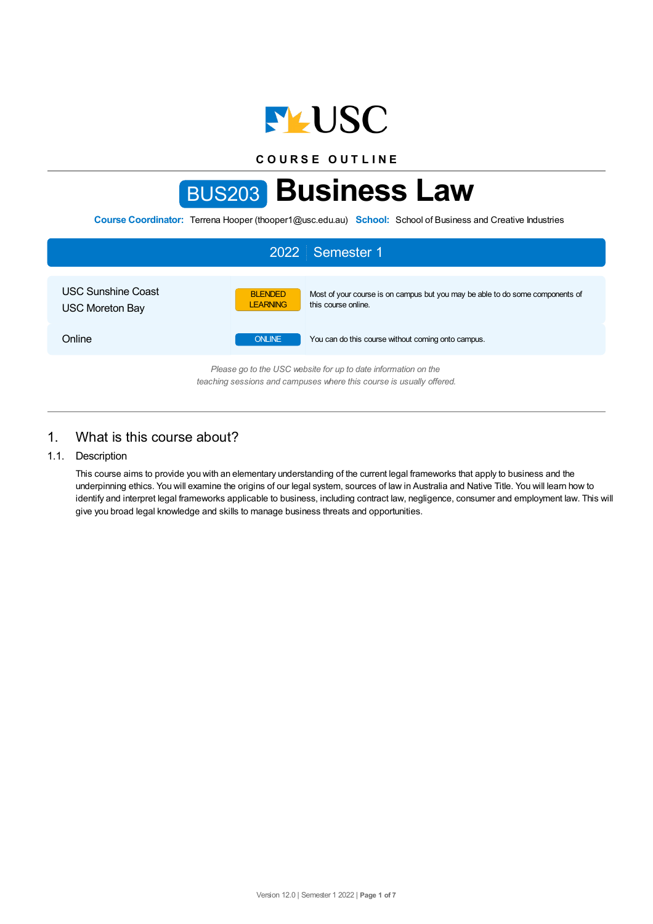

**C O U R S E O U T L I N E**

# BUS203 **Business Law**

**Course Coordinator:** Terrena Hooper (thooper1@usc.edu.au) **School:** School of Business and Creative Industries



# 1. What is this course about?

## 1.1. Description

This course aims to provide you with an elementary understanding of the current legal frameworks that apply to business and the underpinning ethics. You will examine the origins of our legal system, sources of law in Australia and Native Title. You will learn how to identify and interpret legal frameworks applicable to business, including contract law, negligence, consumer and employment law. This will give you broad legal knowledge and skills to manage business threats and opportunities.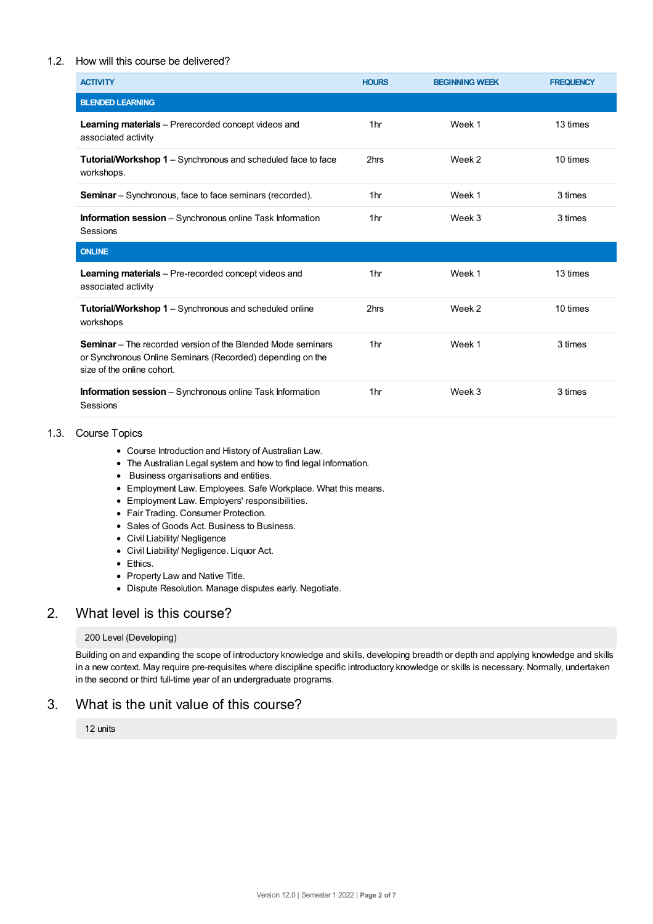## 1.2. How will this course be delivered?

| <b>ACTIVITY</b>                                                                                                                                                | <b>HOURS</b>    | <b>BEGINNING WEEK</b> | <b>FREQUENCY</b> |
|----------------------------------------------------------------------------------------------------------------------------------------------------------------|-----------------|-----------------------|------------------|
| <b>BLENDED LEARNING</b>                                                                                                                                        |                 |                       |                  |
| <b>Learning materials</b> – Prerecorded concept videos and<br>associated activity                                                                              | 1 <sub>hr</sub> | Week 1                | 13 times         |
| <b>Tutorial/Workshop 1</b> – Synchronous and scheduled face to face<br>workshops.                                                                              | 2hrs            | Week 2                | 10 times         |
| <b>Seminar</b> – Synchronous, face to face seminars (recorded).                                                                                                | 1 <sub>hr</sub> | Week 1                | 3 times          |
| <b>Information session</b> - Synchronous online Task Information<br>Sessions                                                                                   | 1 <sub>hr</sub> | Week 3                | 3 times          |
| <b>ONLINE</b>                                                                                                                                                  |                 |                       |                  |
| Learning materials - Pre-recorded concept videos and<br>associated activity                                                                                    | 1 <sub>hr</sub> | Week 1                | 13 times         |
| <b>Tutorial/Workshop 1</b> – Synchronous and scheduled online<br>workshops                                                                                     | 2hrs            | Week 2                | 10 times         |
| <b>Seminar</b> – The recorded version of the Blended Mode seminars<br>or Synchronous Online Seminars (Recorded) depending on the<br>size of the online cohort. | 1 <sub>hr</sub> | Week 1                | 3 times          |
| <b>Information session</b> – Synchronous online Task Information<br>Sessions                                                                                   | 1 <sub>hr</sub> | Week 3                | 3 times          |

#### 1.3. Course Topics

- Course Introduction and History of Australian Law.
- The Australian Legal system and how to find legal information.
- Business organisations and entities.
- Employment Law. Employees. Safe Workplace. What this means.
- Employment Law. Employers' responsibilities.
- Fair Trading. Consumer Protection.
- Sales of Goods Act. Business to Business.
- Civil Liability/ Negligence
- Civil Liability/ Negligence. Liquor Act.
- Ethics.
- Property Law and Native Title.
- Dispute Resolution. Manage disputes early. Negotiate.

## 2. What level is this course?

#### 200 Level (Developing)

Building on and expanding the scope of introductory knowledge and skills, developing breadth or depth and applying knowledge and skills in a new context. May require pre-requisites where discipline specific introductory knowledge or skills is necessary. Normally, undertaken in the second or third full-time year of an undergraduate programs.

## 3. What is the unit value of this course?

12 units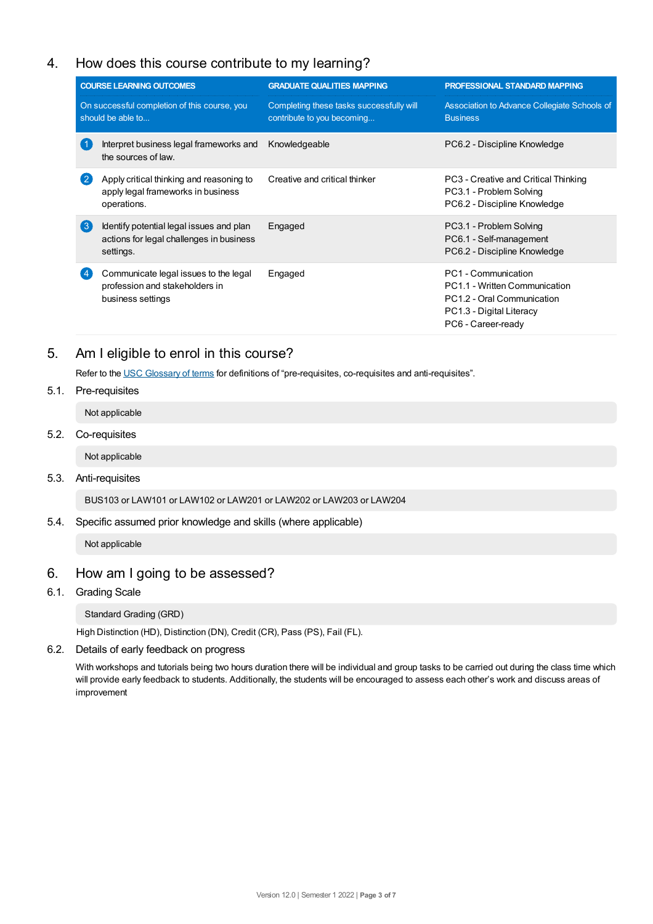# 4. How does this course contribute to my learning?

| <b>COURSE LEARNING OUTCOMES</b>                                   |                                                                                                   | <b>GRADUATE QUALITIES MAPPING</b>                                      | PROFESSIONAL STANDARD MAPPING                                                                                                        |  |
|-------------------------------------------------------------------|---------------------------------------------------------------------------------------------------|------------------------------------------------------------------------|--------------------------------------------------------------------------------------------------------------------------------------|--|
| On successful completion of this course, you<br>should be able to |                                                                                                   | Completing these tasks successfully will<br>contribute to you becoming | Association to Advance Collegiate Schools of<br><b>Business</b>                                                                      |  |
|                                                                   | Interpret business legal frameworks and<br>the sources of law.                                    | Knowledgeable                                                          | PC6.2 - Discipline Knowledge                                                                                                         |  |
| $\mathbf{2}$                                                      | Apply critical thinking and reasoning to<br>apply legal frameworks in business<br>operations.     | Creative and critical thinker                                          | PC3 - Creative and Critical Thinking<br>PC3.1 - Problem Solving<br>PC6.2 - Discipline Knowledge                                      |  |
| $\left(3\right)$                                                  | Identify potential legal issues and plan<br>actions for legal challenges in business<br>settings. | Engaged                                                                | PC3.1 - Problem Solving<br>PC6.1 - Self-management<br>PC6.2 - Discipline Knowledge                                                   |  |
|                                                                   | Communicate legal issues to the legal<br>profession and stakeholders in<br>business settings      | Engaged                                                                | PC1 - Communication<br>PC1.1 - Written Communication<br>PC1.2 - Oral Communication<br>PC1.3 - Digital Literacy<br>PC6 - Career-ready |  |

# 5. Am Ieligible to enrol in this course?

Refer to the USC [Glossary](https://www.usc.edu.au/about/policies-and-procedures/glossary-of-terms-for-policy-and-procedures) of terms for definitions of "pre-requisites, co-requisites and anti-requisites".

5.1. Pre-requisites

Not applicable

5.2. Co-requisites

Not applicable

5.3. Anti-requisites

BUS103 or LAW101 or LAW102 or LAW201 or LAW202 or LAW203 or LAW204

5.4. Specific assumed prior knowledge and skills (where applicable)

Not applicable

## 6. How am Igoing to be assessed?

6.1. Grading Scale

Standard Grading (GRD)

High Distinction (HD), Distinction (DN), Credit (CR), Pass (PS), Fail (FL).

6.2. Details of early feedback on progress

With workshops and tutorials being two hours duration there will be individual and group tasks to be carried out during the class time which will provide early feedback to students. Additionally, the students will be encouraged to assess each other's work and discuss areas of improvement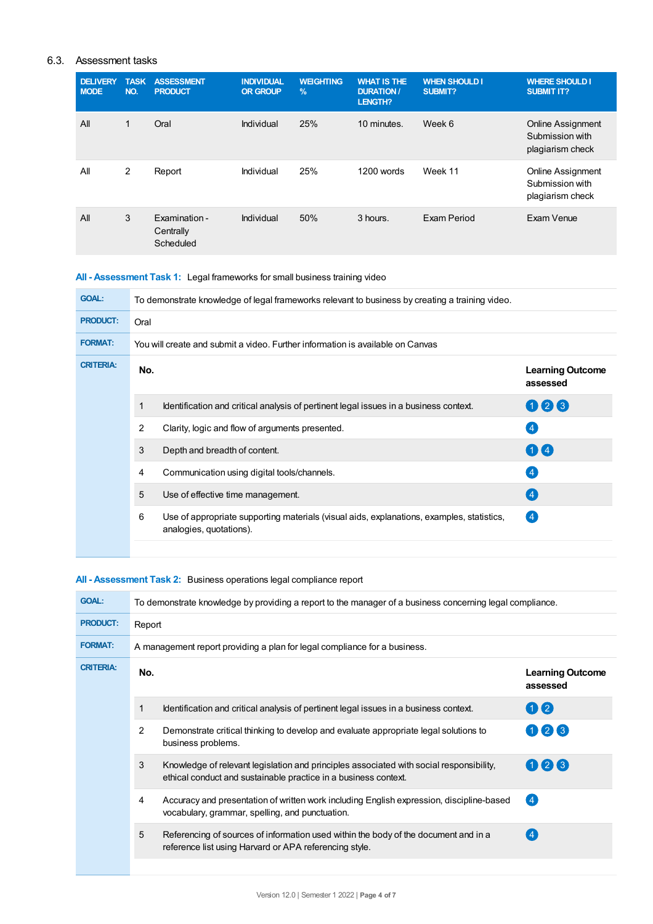## 6.3. Assessment tasks

| <b>DELIVERY</b><br><b>MODE</b> | <b>TASK</b><br>NO. | <b>ASSESSMENT</b><br><b>PRODUCT</b>     | <b>INDIVIDUAL</b><br><b>OR GROUP</b> | <b>WEIGHTING</b><br>$\frac{9}{6}$ | <b>WHAT IS THE</b><br><b>DURATION /</b><br>LENGTH? | <b>WHEN SHOULD I</b><br>SUBMIT? | <b>WHERE SHOULD I</b><br><b>SUBMIT IT?</b>                      |
|--------------------------------|--------------------|-----------------------------------------|--------------------------------------|-----------------------------------|----------------------------------------------------|---------------------------------|-----------------------------------------------------------------|
| All                            | $\mathbf{1}$       | Oral                                    | Individual                           | 25%                               | 10 minutes.                                        | Week 6                          | <b>Online Assignment</b><br>Submission with<br>plagiarism check |
| All                            | 2                  | Report                                  | Individual                           | 25%                               | 1200 words                                         | Week 11                         | <b>Online Assignment</b><br>Submission with<br>plagiarism check |
| All                            | 3                  | Examination -<br>Centrally<br>Scheduled | Individual                           | 50%                               | 3 hours.                                           | Exam Period                     | Exam Venue                                                      |

## **All - Assessment Task 1:** Legal frameworks for small business training video

| <b>GOAL:</b>     | To demonstrate knowledge of legal frameworks relevant to business by creating a training video. |                                                                                                                      |                                     |  |  |  |
|------------------|-------------------------------------------------------------------------------------------------|----------------------------------------------------------------------------------------------------------------------|-------------------------------------|--|--|--|
| <b>PRODUCT:</b>  | Oral                                                                                            |                                                                                                                      |                                     |  |  |  |
| <b>FORMAT:</b>   | You will create and submit a video. Further information is available on Canvas                  |                                                                                                                      |                                     |  |  |  |
| <b>CRITERIA:</b> | No.                                                                                             |                                                                                                                      | <b>Learning Outcome</b><br>assessed |  |  |  |
|                  | $\mathbf{1}$                                                                                    | Identification and critical analysis of pertinent legal issues in a business context.                                | 008                                 |  |  |  |
|                  | 2                                                                                               | Clarity, logic and flow of arguments presented.                                                                      | $\left  4 \right $                  |  |  |  |
|                  | 3                                                                                               | Depth and breadth of content.                                                                                        | $\mathbf{0}$                        |  |  |  |
|                  | 4                                                                                               | Communication using digital tools/channels.                                                                          | $\left 4\right $                    |  |  |  |
|                  | 5                                                                                               | Use of effective time management.                                                                                    | $\left( 4\right)$                   |  |  |  |
|                  | 6                                                                                               | Use of appropriate supporting materials (visual aids, explanations, examples, statistics,<br>analogies, quotations). | (4)                                 |  |  |  |
|                  |                                                                                                 |                                                                                                                      |                                     |  |  |  |

## **All - Assessment Task 2:** Business operations legal compliance report

| Report                                                                    |  |  |  |  |  |  |
|---------------------------------------------------------------------------|--|--|--|--|--|--|
| A management report providing a plan for legal compliance for a business. |  |  |  |  |  |  |
| <b>Learning Outcome</b>                                                   |  |  |  |  |  |  |
|                                                                           |  |  |  |  |  |  |
|                                                                           |  |  |  |  |  |  |
|                                                                           |  |  |  |  |  |  |
|                                                                           |  |  |  |  |  |  |
|                                                                           |  |  |  |  |  |  |
|                                                                           |  |  |  |  |  |  |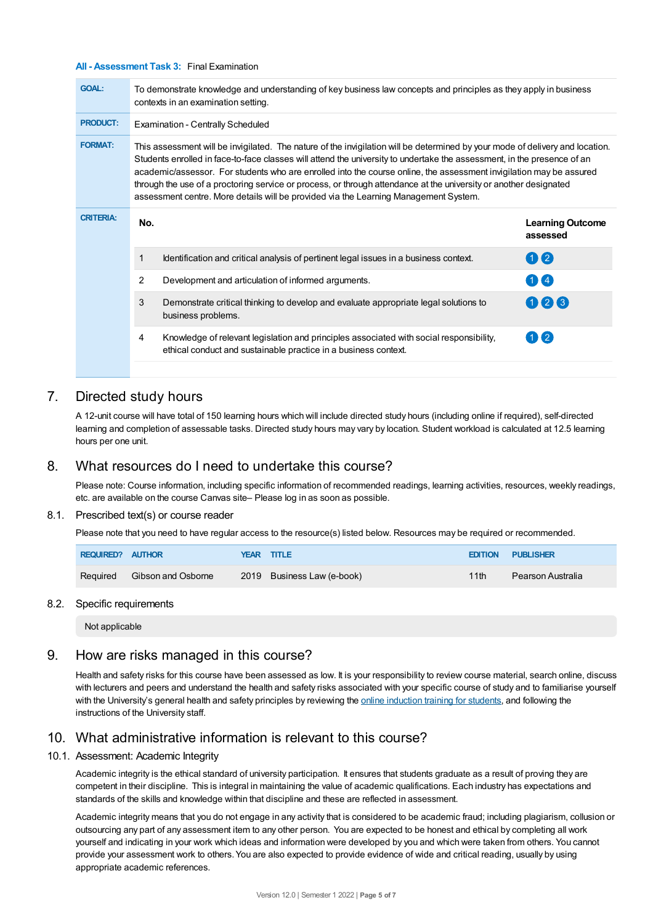#### **All - Assessment Task 3:** Final Examination

| <b>GOAL:</b>     | To demonstrate knowledge and understanding of key business law concepts and principles as they apply in business<br>contexts in an examination setting.                                                                                                                                                                                                                                                                                                                                                                                                                                      |                                                                                                                                                            |                                     |  |  |  |  |
|------------------|----------------------------------------------------------------------------------------------------------------------------------------------------------------------------------------------------------------------------------------------------------------------------------------------------------------------------------------------------------------------------------------------------------------------------------------------------------------------------------------------------------------------------------------------------------------------------------------------|------------------------------------------------------------------------------------------------------------------------------------------------------------|-------------------------------------|--|--|--|--|
| <b>PRODUCT:</b>  | <b>Examination - Centrally Scheduled</b>                                                                                                                                                                                                                                                                                                                                                                                                                                                                                                                                                     |                                                                                                                                                            |                                     |  |  |  |  |
| <b>FORMAT:</b>   | This assessment will be invigilated. The nature of the invigilation will be determined by your mode of delivery and location.<br>Students enrolled in face-to-face classes will attend the university to undertake the assessment, in the presence of an<br>academic/assessor. For students who are enrolled into the course online, the assessment invigilation may be assured<br>through the use of a proctoring service or process, or through attendance at the university or another designated<br>assessment centre. More details will be provided via the Learning Management System. |                                                                                                                                                            |                                     |  |  |  |  |
| <b>CRITERIA:</b> | No.                                                                                                                                                                                                                                                                                                                                                                                                                                                                                                                                                                                          |                                                                                                                                                            | <b>Learning Outcome</b><br>assessed |  |  |  |  |
|                  | 1                                                                                                                                                                                                                                                                                                                                                                                                                                                                                                                                                                                            | Identification and critical analysis of pertinent legal issues in a business context.                                                                      | 102                                 |  |  |  |  |
|                  | 2                                                                                                                                                                                                                                                                                                                                                                                                                                                                                                                                                                                            | Development and articulation of informed arguments.                                                                                                        | $1$ $\overline{)$ 4                 |  |  |  |  |
|                  | 3                                                                                                                                                                                                                                                                                                                                                                                                                                                                                                                                                                                            | Demonstrate critical thinking to develop and evaluate appropriate legal solutions to<br>business problems.                                                 | 123                                 |  |  |  |  |
|                  | 4                                                                                                                                                                                                                                                                                                                                                                                                                                                                                                                                                                                            | Knowledge of relevant legislation and principles associated with social responsibility,<br>ethical conduct and sustainable practice in a business context. | $\left( 2 \right)$                  |  |  |  |  |
|                  |                                                                                                                                                                                                                                                                                                                                                                                                                                                                                                                                                                                              |                                                                                                                                                            |                                     |  |  |  |  |

## 7. Directed study hours

A 12-unit course will have total of 150 learning hours which will include directed study hours (including online if required), self-directed learning and completion of assessable tasks. Directed study hours may vary by location. Student workload is calculated at 12.5 learning hours per one unit.

## 8. What resources do I need to undertake this course?

Please note: Course information, including specific information of recommended readings, learning activities, resources, weekly readings, etc. are available on the course Canvas site– Please log in as soon as possible.

#### 8.1. Prescribed text(s) or course reader

Please note that you need to have regular access to the resource(s) listed below. Resources may be required or recommended.

| REQUIRED? AUTHOR |                             | YEAR TITLE                 |      | <b>EDITION PUBLISHER</b> |
|------------------|-----------------------------|----------------------------|------|--------------------------|
|                  | Required Gibson and Osborne | 2019 Business Law (e-book) | 11th | Pearson Australia        |

#### 8.2. Specific requirements

Not applicable

## 9. How are risks managed in this course?

Health and safety risks for this course have been assessed as low. It is your responsibility to review course material, search online, discuss with lecturers and peers and understand the health and safety risks associated with your specific course of study and to familiarise yourself with the University's general health and safety principles by reviewing the online [induction](https://online.usc.edu.au/webapps/blackboard/content/listContentEditable.jsp?content_id=_632657_1&course_id=_14432_1) training for students, and following the instructions of the University staff.

# 10. What administrative information is relevant to this course?

#### 10.1. Assessment: Academic Integrity

Academic integrity is the ethical standard of university participation. It ensures that students graduate as a result of proving they are competent in their discipline. This is integral in maintaining the value of academic qualifications. Each industry has expectations and standards of the skills and knowledge within that discipline and these are reflected in assessment.

Academic integrity means that you do not engage in any activity that is considered to be academic fraud; including plagiarism, collusion or outsourcing any part of any assessment item to any other person. You are expected to be honest and ethical by completing all work yourself and indicating in your work which ideas and information were developed by you and which were taken from others. You cannot provide your assessment work to others.You are also expected to provide evidence of wide and critical reading, usually by using appropriate academic references.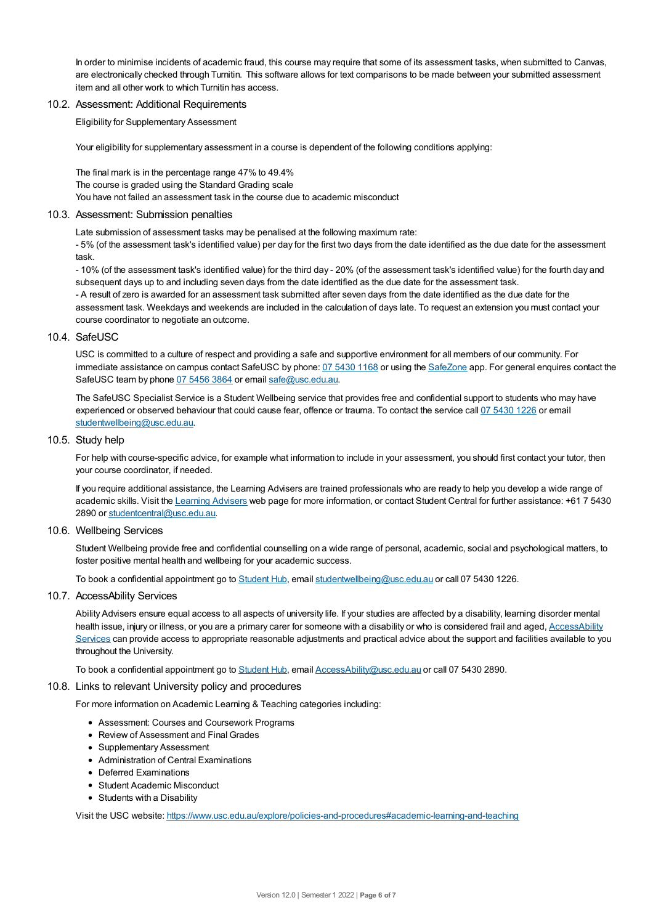In order to minimise incidents of academic fraud, this course may require that some of its assessment tasks, when submitted to Canvas, are electronically checked through Turnitin. This software allows for text comparisons to be made between your submitted assessment item and all other work to which Turnitin has access.

#### 10.2. Assessment: Additional Requirements

Eligibility for Supplementary Assessment

Your eligibility for supplementary assessment in a course is dependent of the following conditions applying:

The final mark is in the percentage range 47% to 49.4% The course is graded using the Standard Grading scale You have not failed an assessment task in the course due to academic misconduct

#### 10.3. Assessment: Submission penalties

Late submission of assessment tasks may be penalised at the following maximum rate:

- 5% (of the assessment task's identified value) per day for the first two days from the date identified as the due date for the assessment task.

- 10% (of the assessment task's identified value) for the third day - 20% (of the assessment task's identified value) for the fourth day and subsequent days up to and including seven days from the date identified as the due date for the assessment task.

- A result of zero is awarded for an assessment task submitted after seven days from the date identified as the due date for the assessment task. Weekdays and weekends are included in the calculation of days late. To request an extension you must contact your course coordinator to negotiate an outcome.

#### 10.4. SafeUSC

USC is committed to a culture of respect and providing a safe and supportive environment for all members of our community. For immediate assistance on campus contact SafeUSC by phone: 07 [5430](tel:07%205430%201168) 1168 or using the [SafeZone](https://www.safezoneapp.com) app. For general enquires contact the SafeUSC team by phone 07 [5456](tel:07%205456%203864) 3864 or email [safe@usc.edu.au](mailto:safe@usc.edu.au).

The SafeUSC Specialist Service is a Student Wellbeing service that provides free and confidential support to students who may have experienced or observed behaviour that could cause fear, offence or trauma. To contact the service call 07 [5430](tel:07%205430%201226) 1226 or email [studentwellbeing@usc.edu.au](mailto:studentwellbeing@usc.edu.au).

#### 10.5. Study help

For help with course-specific advice, for example what information to include in your assessment, you should first contact your tutor, then your course coordinator, if needed.

If you require additional assistance, the Learning Advisers are trained professionals who are ready to help you develop a wide range of academic skills. Visit the Learning [Advisers](https://www.usc.edu.au/current-students/student-support/academic-and-study-support/learning-advisers) web page for more information, or contact Student Central for further assistance: +61 7 5430 2890 or [studentcentral@usc.edu.au](mailto:studentcentral@usc.edu.au).

#### 10.6. Wellbeing Services

Student Wellbeing provide free and confidential counselling on a wide range of personal, academic, social and psychological matters, to foster positive mental health and wellbeing for your academic success.

To book a confidential appointment go to [Student](https://studenthub.usc.edu.au/) Hub, email [studentwellbeing@usc.edu.au](mailto:studentwellbeing@usc.edu.au) or call 07 5430 1226.

#### 10.7. AccessAbility Services

Ability Advisers ensure equal access to all aspects of university life. If your studies are affected by a disability, learning disorder mental health issue, injury or illness, or you are a primary carer for someone with a disability or who is considered frail and aged, [AccessAbility](https://www.usc.edu.au/learn/student-support/accessability-services/documentation-requirements) Services can provide access to appropriate reasonable adjustments and practical advice about the support and facilities available to you throughout the University.

To book a confidential appointment go to [Student](https://studenthub.usc.edu.au/) Hub, email [AccessAbility@usc.edu.au](mailto:AccessAbility@usc.edu.au) or call 07 5430 2890.

#### 10.8. Links to relevant University policy and procedures

For more information on Academic Learning & Teaching categories including:

- Assessment: Courses and Coursework Programs
- Review of Assessment and Final Grades
- Supplementary Assessment
- Administration of Central Examinations
- Deferred Examinations
- Student Academic Misconduct
- Students with a Disability

Visit the USC website: <https://www.usc.edu.au/explore/policies-and-procedures#academic-learning-and-teaching>